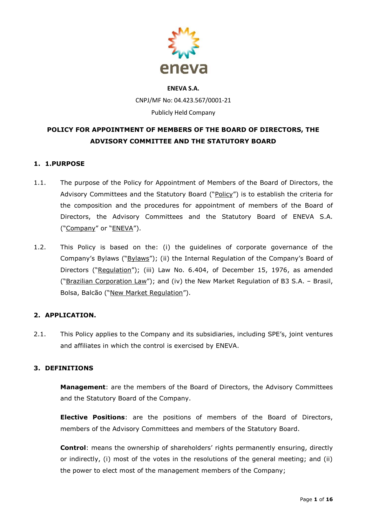

# **ENEVA S.A.** CNPJ/MF No: 04.423.567/0001-21 Publicly Held Company

# **POLICY FOR APPOINTMENT OF MEMBERS OF THE BOARD OF DIRECTORS, THE ADVISORY COMMITTEE AND THE STATUTORY BOARD**

# **1. 1.PURPOSE**

- 1.1. The purpose of the Policy for Appointment of Members of the Board of Directors, the Advisory Committees and the Statutory Board ("Policy") is to establish the criteria for the composition and the procedures for appointment of members of the Board of Directors, the Advisory Committees and the Statutory Board of ENEVA S.A. ("Company" or "ENEVA").
- 1.2. This Policy is based on the: (i) the guidelines of corporate governance of the Company's Bylaws ("Bylaws"); (ii) the Internal Regulation of the Company's Board of Directors ("Requiation"); (iii) Law No. 6.404, of December 15, 1976, as amended ("Brazilian Corporation Law"); and (iv) the New Market Regulation of B3 S.A. – Brasil, Bolsa, Balcão ("New Market Regulation").

# **2. APPLICATION.**

2.1. This Policy applies to the Company and its subsidiaries, including SPE's, joint ventures and affiliates in which the control is exercised by ENEVA.

# **3. DEFINITIONS**

**Management**: are the members of the Board of Directors, the Advisory Committees and the Statutory Board of the Company.

**Elective Positions**: are the positions of members of the Board of Directors, members of the Advisory Committees and members of the Statutory Board.

**Control**: means the ownership of shareholders' rights permanently ensuring, directly or indirectly, (i) most of the votes in the resolutions of the general meeting; and (ii) the power to elect most of the management members of the Company;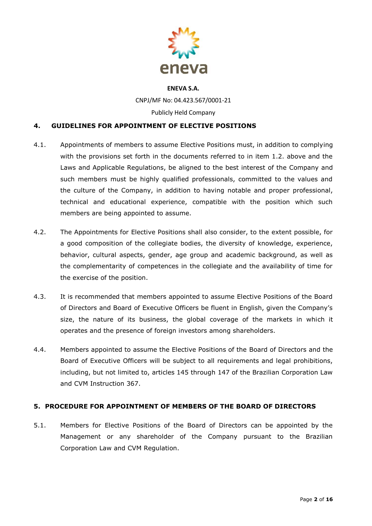

CNPJ/MF No: 04.423.567/0001-21

Publicly Held Company

# **4. GUIDELINES FOR APPOINTMENT OF ELECTIVE POSITIONS**

- 4.1. Appointments of members to assume Elective Positions must, in addition to complying with the provisions set forth in the documents referred to in item 1.2. above and the Laws and Applicable Regulations, be aligned to the best interest of the Company and such members must be highly qualified professionals, committed to the values and the culture of the Company, in addition to having notable and proper professional, technical and educational experience, compatible with the position which such members are being appointed to assume.
- 4.2. The Appointments for Elective Positions shall also consider, to the extent possible, for a good composition of the collegiate bodies, the diversity of knowledge, experience, behavior, cultural aspects, gender, age group and academic background, as well as the complementarity of competences in the collegiate and the availability of time for the exercise of the position.
- 4.3. It is recommended that members appointed to assume Elective Positions of the Board of Directors and Board of Executive Officers be fluent in English, given the Company's size, the nature of its business, the global coverage of the markets in which it operates and the presence of foreign investors among shareholders.
- 4.4. Members appointed to assume the Elective Positions of the Board of Directors and the Board of Executive Officers will be subject to all requirements and legal prohibitions, including, but not limited to, articles 145 through 147 of the Brazilian Corporation Law and CVM Instruction 367.

# **5. PROCEDURE FOR APPOINTMENT OF MEMBERS OF THE BOARD OF DIRECTORS**

5.1. Members for Elective Positions of the Board of Directors can be appointed by the Management or any shareholder of the Company pursuant to the Brazilian Corporation Law and CVM Regulation.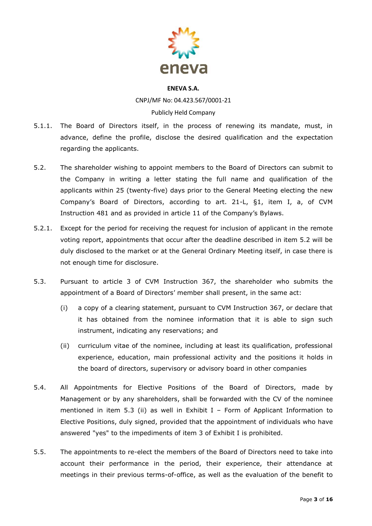

CNPJ/MF No: 04.423.567/0001-21 Publicly Held Company

- 5.1.1. The Board of Directors itself, in the process of renewing its mandate, must, in advance, define the profile, disclose the desired qualification and the expectation regarding the applicants.
- 5.2. The shareholder wishing to appoint members to the Board of Directors can submit to the Company in writing a letter stating the full name and qualification of the applicants within 25 (twenty-five) days prior to the General Meeting electing the new Company's Board of Directors, according to art. 21-L, §1, item I, a, of CVM Instruction 481 and as provided in article 11 of the Company's Bylaws.
- 5.2.1. Except for the period for receiving the request for inclusion of applicant in the remote voting report, appointments that occur after the deadline described in item 5.2 will be duly disclosed to the market or at the General Ordinary Meeting itself, in case there is not enough time for disclosure.
- 5.3. Pursuant to article 3 of CVM Instruction 367, the shareholder who submits the appointment of a Board of Directors' member shall present, in the same act:
	- (i) a copy of a clearing statement, pursuant to CVM Instruction 367, or declare that it has obtained from the nominee information that it is able to sign such instrument, indicating any reservations; and
	- (ii) curriculum vitae of the nominee, including at least its qualification, professional experience, education, main professional activity and the positions it holds in the board of directors, supervisory or advisory board in other companies
- 5.4. All Appointments for Elective Positions of the Board of Directors, made by Management or by any shareholders, shall be forwarded with the CV of the nominee mentioned in item 5.3 (ii) as well in Exhibit I - Form of Applicant Information to Elective Positions, duly signed, provided that the appointment of individuals who have answered "yes" to the impediments of item 3 of Exhibit I is prohibited.
- 5.5. The appointments to re-elect the members of the Board of Directors need to take into account their performance in the period, their experience, their attendance at meetings in their previous terms-of-office, as well as the evaluation of the benefit to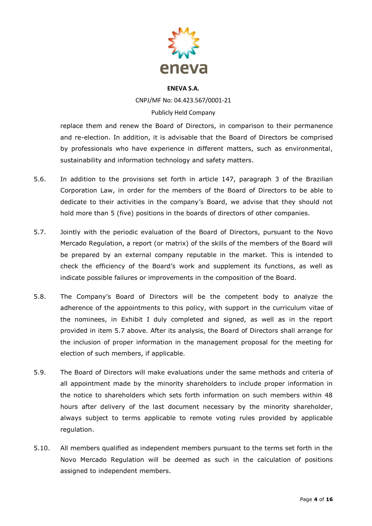

CNPJ/MF No: 04.423.567/0001-21 Publicly Held Company

replace them and renew the Board of Directors, in comparison to their permanence and re-election. In addition, it is advisable that the Board of Directors be comprised by professionals who have experience in different matters, such as environmental, sustainability and information technology and safety matters.

- 5.6. In addition to the provisions set forth in article 147, paragraph 3 of the Brazilian Corporation Law, in order for the members of the Board of Directors to be able to dedicate to their activities in the company's Board, we advise that they should not hold more than 5 (five) positions in the boards of directors of other companies.
- 5.7. Jointly with the periodic evaluation of the Board of Directors, pursuant to the Novo Mercado Regulation, a report (or matrix) of the skills of the members of the Board will be prepared by an external company reputable in the market. This is intended to check the efficiency of the Board's work and supplement its functions, as well as indicate possible failures or improvements in the composition of the Board.
- 5.8. The Company's Board of Directors will be the competent body to analyze the adherence of the appointments to this policy, with support in the curriculum vitae of the nominees, in Exhibit I duly completed and signed, as well as in the report provided in item 5.7 above. After its analysis, the Board of Directors shall arrange for the inclusion of proper information in the management proposal for the meeting for election of such members, if applicable.
- 5.9. The Board of Directors will make evaluations under the same methods and criteria of all appointment made by the minority shareholders to include proper information in the notice to shareholders which sets forth information on such members within 48 hours after delivery of the last document necessary by the minority shareholder, always subject to terms applicable to remote voting rules provided by applicable regulation.
- 5.10. All members qualified as independent members pursuant to the terms set forth in the Novo Mercado Regulation will be deemed as such in the calculation of positions assigned to independent members.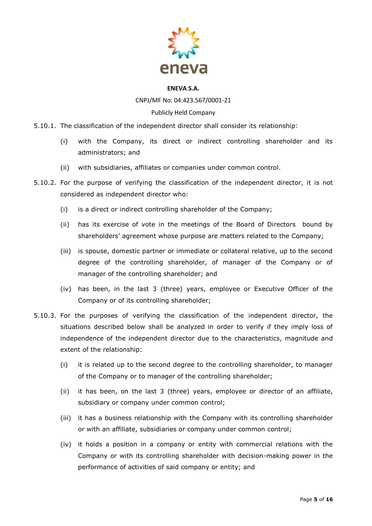

CNPJ/MF No: 04.423.567/0001-21

### Publicly Held Company

5.10.1. The classification of the independent director shall consider its relationship:

- (i) with the Company, its direct or indirect controlling shareholder and its administrators; and
- (ii) with subsidiaries, affiliates or companies under common control.
- 5.10.2. For the purpose of verifying the classification of the independent director, it is not considered as independent director who:
	- (i) is a direct or indirect controlling shareholder of the Company;
	- (ii) has its exercise of vote in the meetings of the Board of Directors bound by shareholders' agreement whose purpose are matters related to the Company;
	- (iii) is spouse, domestic partner or immediate or collateral relative, up to the second degree of the controlling shareholder, of manager of the Company or of manager of the controlling shareholder; and
	- (iv) has been, in the last 3 (three) years, employee or Executive Officer of the Company or of its controlling shareholder;
- 5.10.3. For the purposes of verifying the classification of the independent director, the situations described below shall be analyzed in order to verify if they imply loss of independence of the independent director due to the characteristics, magnitude and extent of the relationship:
	- (i) it is related up to the second degree to the controlling shareholder, to manager of the Company or to manager of the controlling shareholder;
	- (ii) it has been, on the last 3 (three) years, employee or director of an affiliate, subsidiary or company under common control;
	- (iii) it has a business relationship with the Company with its controlling shareholder or with an affiliate, subsidiaries or company under common control;
	- (iv) it holds a position in a company or entity with commercial relations with the Company or with its controlling shareholder with decision-making power in the performance of activities of said company or entity; and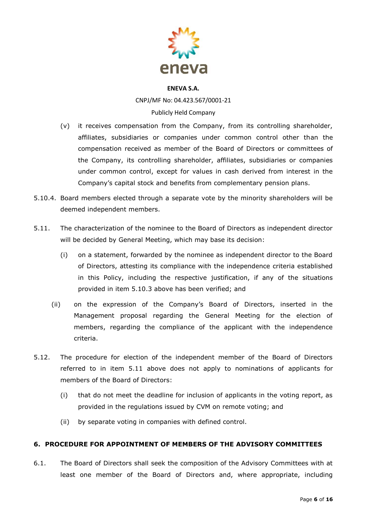

CNPJ/MF No: 04.423.567/0001-21 Publicly Held Company

- (v) it receives compensation from the Company, from its controlling shareholder, affiliates, subsidiaries or companies under common control other than the compensation received as member of the Board of Directors or committees of the Company, its controlling shareholder, affiliates, subsidiaries or companies under common control, except for values in cash derived from interest in the Company's capital stock and benefits from complementary pension plans.
- 5.10.4. Board members elected through a separate vote by the minority shareholders will be deemed independent members.
- 5.11. The characterization of the nominee to the Board of Directors as independent director will be decided by General Meeting, which may base its decision:
	- (i) on a statement, forwarded by the nominee as independent director to the Board of Directors, attesting its compliance with the independence criteria established in this Policy, including the respective justification, if any of the situations provided in item 5.10.3 above has been verified; and
	- (ii) on the expression of the Company's Board of Directors, inserted in the Management proposal regarding the General Meeting for the election of members, regarding the compliance of the applicant with the independence criteria.
- 5.12. The procedure for election of the independent member of the Board of Directors referred to in item 5.11 above does not apply to nominations of applicants for members of the Board of Directors:
	- (i) that do not meet the deadline for inclusion of applicants in the voting report, as provided in the regulations issued by CVM on remote voting; and
	- (ii) by separate voting in companies with defined control.

# **6. PROCEDURE FOR APPOINTMENT OF MEMBERS OF THE ADVISORY COMMITTEES**

6.1. The Board of Directors shall seek the composition of the Advisory Committees with at least one member of the Board of Directors and, where appropriate, including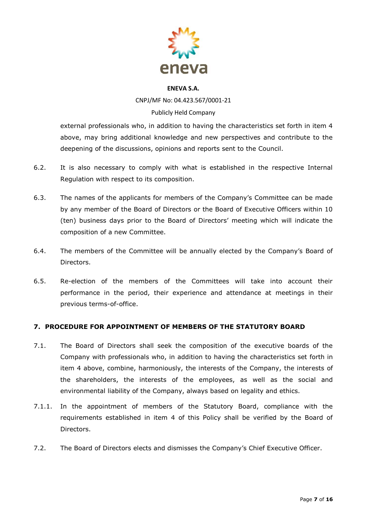

CNPJ/MF No: 04.423.567/0001-21 Publicly Held Company

external professionals who, in addition to having the characteristics set forth in item 4 above, may bring additional knowledge and new perspectives and contribute to the deepening of the discussions, opinions and reports sent to the Council.

- 6.2. It is also necessary to comply with what is established in the respective Internal Regulation with respect to its composition.
- 6.3. The names of the applicants for members of the Company's Committee can be made by any member of the Board of Directors or the Board of Executive Officers within 10 (ten) business days prior to the Board of Directors' meeting which will indicate the composition of a new Committee.
- 6.4. The members of the Committee will be annually elected by the Company's Board of Directors.
- 6.5. Re-election of the members of the Committees will take into account their performance in the period, their experience and attendance at meetings in their previous terms-of-office.

# **7. PROCEDURE FOR APPOINTMENT OF MEMBERS OF THE STATUTORY BOARD**

- 7.1. The Board of Directors shall seek the composition of the executive boards of the Company with professionals who, in addition to having the characteristics set forth in item 4 above, combine, harmoniously, the interests of the Company, the interests of the shareholders, the interests of the employees, as well as the social and environmental liability of the Company, always based on legality and ethics.
- 7.1.1. In the appointment of members of the Statutory Board, compliance with the requirements established in item 4 of this Policy shall be verified by the Board of Directors.
- 7.2. The Board of Directors elects and dismisses the Company's Chief Executive Officer.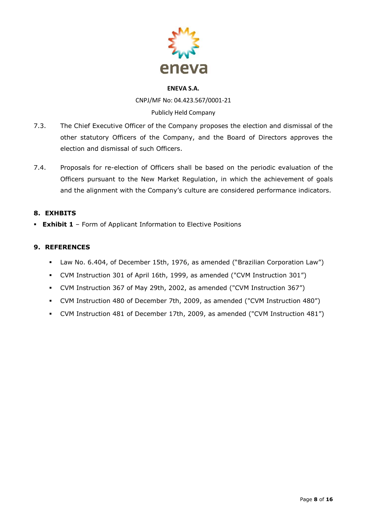

CNPJ/MF No: 04.423.567/0001-21 Publicly Held Company

- 7.3. The Chief Executive Officer of the Company proposes the election and dismissal of the other statutory Officers of the Company, and the Board of Directors approves the election and dismissal of such Officers.
- 7.4. Proposals for re-election of Officers shall be based on the periodic evaluation of the Officers pursuant to the New Market Regulation, in which the achievement of goals and the alignment with the Company's culture are considered performance indicators.

# **8. EXHBITS**

▪ **Exhibit 1** – Form of Applicant Information to Elective Positions

# **9. REFERENCES**

- Law No. 6.404, of December 15th, 1976, as amended ("Brazilian Corporation Law")
- CVM Instruction 301 of April 16th, 1999, as amended ("CVM Instruction 301")
- CVM Instruction 367 of May 29th, 2002, as amended ("CVM Instruction 367")
- CVM Instruction 480 of December 7th, 2009, as amended ("CVM Instruction 480")
- CVM Instruction 481 of December 17th, 2009, as amended ("CVM Instruction 481")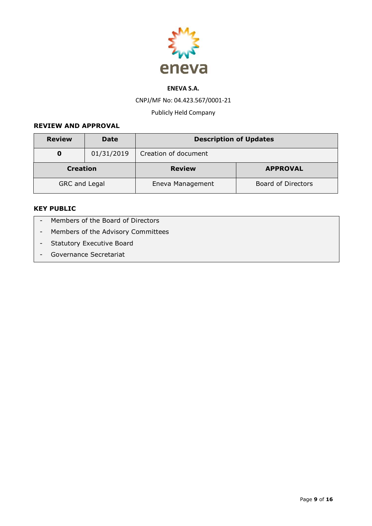

CNPJ/MF No: 04.423.567/0001-21

Publicly Held Company

### **REVIEW AND APPROVAL**

| <b>Review</b>        | <b>Date</b>                      | <b>Description of Updates</b>          |                 |  |  |
|----------------------|----------------------------------|----------------------------------------|-----------------|--|--|
| O                    | 01/31/2019                       | Creation of document                   |                 |  |  |
|                      | <b>Creation</b><br><b>Review</b> |                                        | <b>APPROVAL</b> |  |  |
| <b>GRC and Legal</b> |                                  | Board of Directors<br>Eneva Management |                 |  |  |

# **KEY PUBLIC**

- Members of the Board of Directors
- Members of the Advisory Committees
- Statutory Executive Board
- Governance Secretariat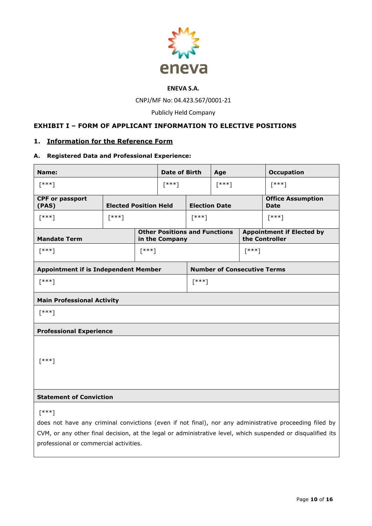

CNPJ/MF No: 04.423.567/0001-21

Publicly Held Company

# **EXHIBIT I – FORM OF APPLICANT INFORMATION TO ELECTIVE POSITIONS**

### **1. Information for the Reference Form**

### **A. Registered Data and Professional Experience:**

| Name:                                                                                                                                                 |                              | <b>Date of Birth</b> |                                                        | Age                                |         | <b>Occupation</b>                                  |          |
|-------------------------------------------------------------------------------------------------------------------------------------------------------|------------------------------|----------------------|--------------------------------------------------------|------------------------------------|---------|----------------------------------------------------|----------|
| $[$ ***]                                                                                                                                              |                              | $[$ ***]             |                                                        | $[***]$                            |         | $[***]$                                            |          |
| <b>CPF or passport</b><br>(PAS)                                                                                                                       | <b>Elected Position Held</b> |                      |                                                        | <b>Election Date</b>               |         | <b>Office Assumption</b><br><b>Date</b>            |          |
| $[***]$                                                                                                                                               | $[***]$                      |                      |                                                        | $[$ ***]                           |         |                                                    | $[$ ***] |
| <b>Mandate Term</b>                                                                                                                                   |                              |                      | <b>Other Positions and Functions</b><br>in the Company |                                    |         | <b>Appointment if Elected by</b><br>the Controller |          |
| $[$ ***]                                                                                                                                              |                              | $[***]$              |                                                        |                                    | $[***]$ |                                                    |          |
| <b>Appointment if is Independent Member</b>                                                                                                           |                              |                      |                                                        | <b>Number of Consecutive Terms</b> |         |                                                    |          |
| $[***]$                                                                                                                                               |                              |                      |                                                        | $[***]$                            |         |                                                    |          |
| <b>Main Professional Activity</b>                                                                                                                     |                              |                      |                                                        |                                    |         |                                                    |          |
| $[$ ***]                                                                                                                                              |                              |                      |                                                        |                                    |         |                                                    |          |
| <b>Professional Experience</b>                                                                                                                        |                              |                      |                                                        |                                    |         |                                                    |          |
|                                                                                                                                                       |                              |                      |                                                        |                                    |         |                                                    |          |
| $[$ ***]                                                                                                                                              |                              |                      |                                                        |                                    |         |                                                    |          |
|                                                                                                                                                       |                              |                      |                                                        |                                    |         |                                                    |          |
|                                                                                                                                                       |                              |                      |                                                        |                                    |         |                                                    |          |
| <b>Statement of Conviction</b>                                                                                                                        |                              |                      |                                                        |                                    |         |                                                    |          |
| $[$ ***]                                                                                                                                              |                              |                      |                                                        |                                    |         |                                                    |          |
| does not have any criminal convictions (even if not final), nor any administrative proceeding filed by                                                |                              |                      |                                                        |                                    |         |                                                    |          |
| CVM, or any other final decision, at the legal or administrative level, which suspended or disqualified its<br>professional or commercial activities. |                              |                      |                                                        |                                    |         |                                                    |          |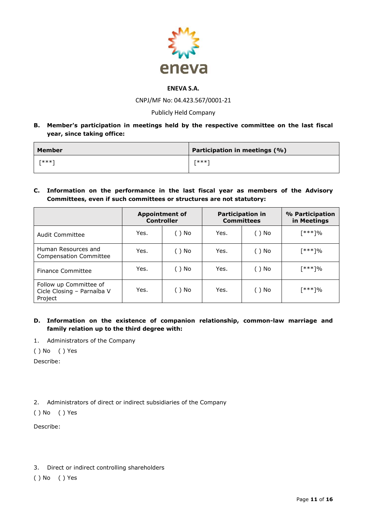

CNPJ/MF No: 04.423.567/0001-21

### Publicly Held Company

**B. Member's participation in meetings held by the respective committee on the last fiscal year, since taking office:**

| Member  | Participation in meetings (%) |
|---------|-------------------------------|
| $rx**1$ | $rx**1$                       |

**C. Information on the performance in the last fiscal year as members of the Advisory Committees, even if such committees or structures are not statutory:**

|                                                                 | <b>Appointment of</b><br><b>Controller</b> |      |      | <b>Participation in</b><br><b>Committees</b> | % Participation<br>in Meetings |
|-----------------------------------------------------------------|--------------------------------------------|------|------|----------------------------------------------|--------------------------------|
| Audit Committee                                                 | Yes.                                       | ()No | Yes. | ( ) No                                       | <sup>***]%</sup>               |
| Human Resources and<br><b>Compensation Committee</b>            | Yes.                                       | ()No | Yes. | ()No                                         | <sup>***]%</sup>               |
| Finance Committee                                               | Yes.                                       | ()No | Yes. | ()No                                         | 「***]%                         |
| Follow up Committee of<br>Cicle Closing - Parnaíba V<br>Project | Yes.                                       | ()No | Yes. | ()No                                         | <sup>***]%</sup>               |

### **D. Information on the existence of companion relationship, common-law marriage and family relation up to the third degree with:**

- 1. Administrators of the Company
- ( ) No ( ) Yes

Describe:

2. Administrators of direct or indirect subsidiaries of the Company

( ) No ( ) Yes

Describe:

3. Direct or indirect controlling shareholders

( ) No ( ) Yes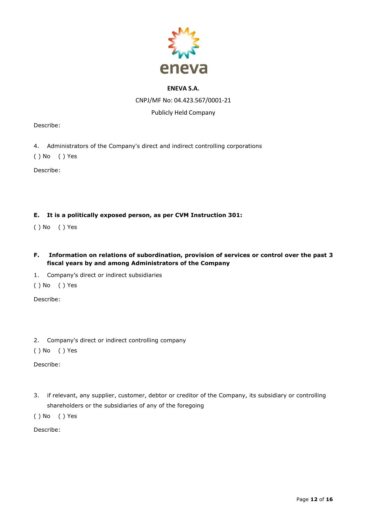

CNPJ/MF No: 04.423.567/0001-21

### Publicly Held Company

Describe:

- 4. Administrators of the Company's direct and indirect controlling corporations
- ( ) No ( ) Yes

Describe:

### **E. It is a politically exposed person, as per CVM Instruction 301:**

- ( ) No ( ) Yes
- **F. Information on relations of subordination, provision of services or control over the past 3 fiscal years by and among Administrators of the Company**
- 1. Company's direct or indirect subsidiaries
- ( ) No ( ) Yes

Describe:

2. Company's direct or indirect controlling company

( ) No ( ) Yes

Describe:

3. if relevant, any supplier, customer, debtor or creditor of the Company, its subsidiary or controlling shareholders or the subsidiaries of any of the foregoing

( ) No ( ) Yes

Describe: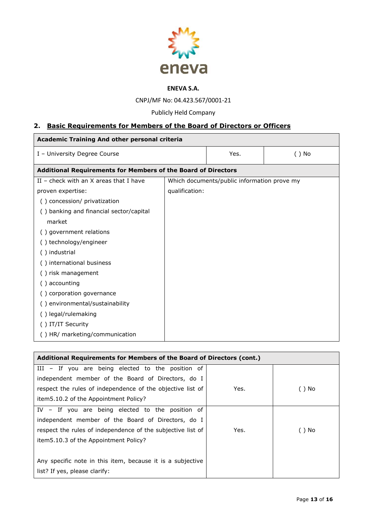

CNPJ/MF No: 04.423.567/0001-21

# Publicly Held Company

# **2. Basic Requirements for Members of the Board of Directors or Officers**

| <b>Academic Training And other personal criteria</b>                 |                |                                             |          |  |
|----------------------------------------------------------------------|----------------|---------------------------------------------|----------|--|
| I - University Degree Course                                         |                | Yes.                                        | $( )$ No |  |
| <b>Additional Requirements for Members of the Board of Directors</b> |                |                                             |          |  |
| II - check with an $X$ areas that I have                             |                | Which documents/public information prove my |          |  |
| proven expertise:                                                    | qualification: |                                             |          |  |
| () concession/ privatization                                         |                |                                             |          |  |
| () banking and financial sector/capital                              |                |                                             |          |  |
| market                                                               |                |                                             |          |  |
| () government relations                                              |                |                                             |          |  |
| () technology/engineer                                               |                |                                             |          |  |
| () industrial                                                        |                |                                             |          |  |
| () international business                                            |                |                                             |          |  |
| () risk management                                                   |                |                                             |          |  |
| accounting<br>( )                                                    |                |                                             |          |  |
| () corporation governance                                            |                |                                             |          |  |
| () environmental/sustainability                                      |                |                                             |          |  |
| () legal/rulemaking                                                  |                |                                             |          |  |
| () IT/IT Security                                                    |                |                                             |          |  |
| () HR/ marketing/communication                                       |                |                                             |          |  |

| Additional Requirements for Members of the Board of Directors (cont.) |      |        |  |
|-----------------------------------------------------------------------|------|--------|--|
| III - If you are being elected to the position of                     |      |        |  |
| independent member of the Board of Directors, do I                    |      |        |  |
| respect the rules of independence of the objective list of            | Yes. | ()No   |  |
| item 5.10.2 of the Appointment Policy?                                |      |        |  |
| IV - If you are being elected to the position of                      |      |        |  |
| independent member of the Board of Directors, do I                    |      |        |  |
| respect the rules of independence of the subjective list of           | Yes. | ( ) No |  |
| item 5.10.3 of the Appointment Policy?                                |      |        |  |
|                                                                       |      |        |  |
| Any specific note in this item, because it is a subjective            |      |        |  |
| list? If yes, please clarify:                                         |      |        |  |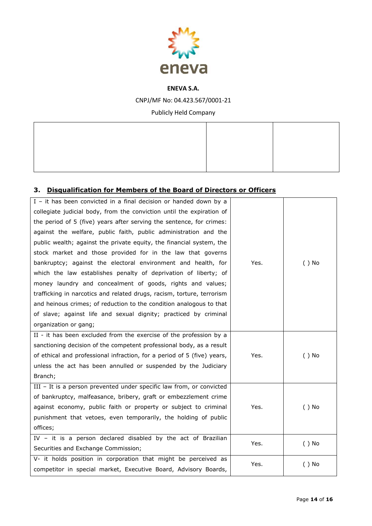

CNPJ/MF No: 04.423.567/0001-21

Publicly Held Company

# **3. Disqualification for Members of the Board of Directors or Officers**

| I - it has been convicted in a final decision or handed down by a       |      |          |
|-------------------------------------------------------------------------|------|----------|
| collegiate judicial body, from the conviction until the expiration of   |      |          |
| the period of 5 (five) years after serving the sentence, for crimes:    |      |          |
| against the welfare, public faith, public administration and the        |      |          |
| public wealth; against the private equity, the financial system, the    |      |          |
| stock market and those provided for in the law that governs             |      |          |
| bankruptcy; against the electoral environment and health, for           | Yes. | $( )$ No |
| which the law establishes penalty of deprivation of liberty; of         |      |          |
| money laundry and concealment of goods, rights and values;              |      |          |
| trafficking in narcotics and related drugs, racism, torture, terrorism  |      |          |
| and heinous crimes; of reduction to the condition analogous to that     |      |          |
| of slave; against life and sexual dignity; practiced by criminal        |      |          |
| organization or gang;                                                   |      |          |
| II - it has been excluded from the exercise of the profession by a      |      |          |
| sanctioning decision of the competent professional body, as a result    |      |          |
| of ethical and professional infraction, for a period of 5 (five) years, | Yes. | $( )$ No |
| unless the act has been annulled or suspended by the Judiciary          |      |          |
| Branch;                                                                 |      |          |
| III - It is a person prevented under specific law from, or convicted    |      |          |
| of bankruptcy, malfeasance, bribery, graft or embezzlement crime        |      |          |
| against economy, public faith or property or subject to criminal        | Yes. | $( )$ No |
| punishment that vetoes, even temporarily, the holding of public         |      |          |
| offices;                                                                |      |          |
| IV - it is a person declared disabled by the act of Brazilian           | Yes. | $( )$ No |
| Securities and Exchange Commission;                                     |      |          |
| V- it holds position in corporation that might be perceived as          | Yes. | $( )$ No |
| competitor in special market, Executive Board, Advisory Boards,         |      |          |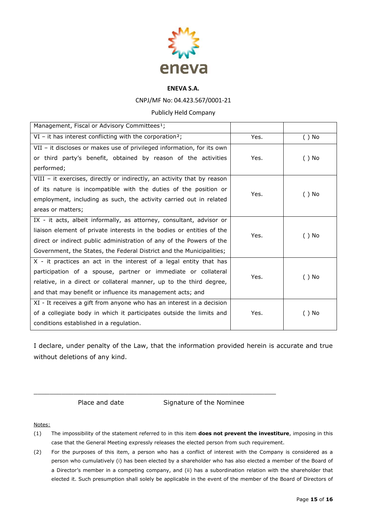

### CNPJ/MF No: 04.423.567/0001-21

#### Publicly Held Company

| Management, Fiscal or Advisory Committees <sup>1</sup> ;                |      |          |
|-------------------------------------------------------------------------|------|----------|
| $VI$ – it has interest conflicting with the corporation <sup>2</sup> ;  | Yes. | $( )$ No |
| VII - it discloses or makes use of privileged information, for its own  |      |          |
| or third party's benefit, obtained by reason of the activities          | Yes. | $()$ No  |
| performed;                                                              |      |          |
| VIII - it exercises, directly or indirectly, an activity that by reason |      |          |
| of its nature is incompatible with the duties of the position or        | Yes. | $()$ No  |
| employment, including as such, the activity carried out in related      |      |          |
| areas or matters;                                                       |      |          |
| IX - it acts, albeit informally, as attorney, consultant, advisor or    |      |          |
| liaison element of private interests in the bodies or entities of the   | Yes. | ( ) No   |
| direct or indirect public administration of any of the Powers of the    |      |          |
| Government, the States, the Federal District and the Municipalities;    |      |          |
| X - it practices an act in the interest of a legal entity that has      |      |          |
| participation of a spouse, partner or immediate or collateral           | Yes. | ( ) No   |
| relative, in a direct or collateral manner, up to the third degree,     |      |          |
| and that may benefit or influence its management acts; and              |      |          |
| XI - It receives a gift from anyone who has an interest in a decision   |      |          |
| of a collegiate body in which it participates outside the limits and    | Yes. | ( ) No   |
| conditions established in a regulation.                                 |      |          |

I declare, under penalty of the Law, that the information provided herein is accurate and true without deletions of any kind.

 $\_$  . The contribution of the contribution of the contribution of  $\mathcal{L}_1$  ,  $\mathcal{L}_2$  ,  $\mathcal{L}_3$  ,  $\mathcal{L}_4$  ,  $\mathcal{L}_5$  ,  $\mathcal{L}_6$  ,  $\mathcal{L}_7$  ,  $\mathcal{L}_8$  ,  $\mathcal{L}_9$  ,  $\mathcal{L}_9$  ,  $\mathcal{L}_8$  ,  $\mathcal{L}_9$  ,  $\mathcal{L}_9$  ,

Place and date Signature of the Nominee

#### Notes:

- (1) The impossibility of the statement referred to in this item **does not prevent the investiture**, imposing in this case that the General Meeting expressly releases the elected person from such requirement.
- (2) For the purposes of this item, a person who has a conflict of interest with the Company is considered as a person who cumulatively (i) has been elected by a shareholder who has also elected a member of the Board of a Director's member in a competing company, and (ii) has a subordination relation with the shareholder that elected it. Such presumption shall solely be applicable in the event of the member of the Board of Directors of